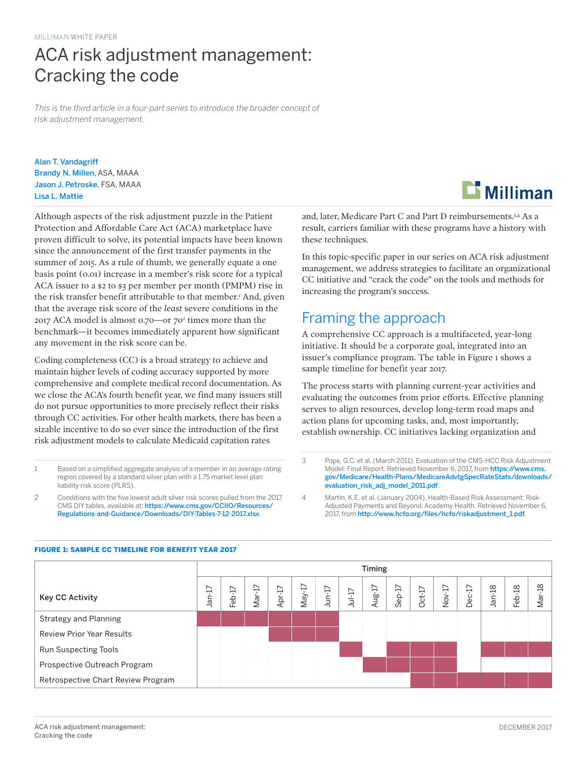## ACA risk adjustment management: Cracking the code

*This is the third article in a four-part series to introduce the broader concept of risk adjustment management.*

Alan T. Vandagriff Brandy N. Millen, ASA, MAAA Jason J. Petroske, FSA, MAAA Lisa L. Mattie

Although aspects of the risk adjustment puzzle in the Patient Protection and Affordable Care Act (ACA) marketplace have proven difficult to solve, its potential impacts have been known since the announcement of the first transfer payments in the summer of 2015. As a rule of thumb, we generally equate a one basis point (0.01) increase in a member's risk score for a typical ACA issuer to a \$2 to \$3 per member per month (PMPM) rise in the risk transfer benefit attributable to that member.<sup>1</sup> And, given that the average risk score of the *least* severe conditions in the 2017 ACA model is almost 0.70—or 702 times more than the benchmark—it becomes immediately apparent how significant any movement in the risk score can be.

Coding completeness (CC) is a broad strategy to achieve and maintain higher levels of coding accuracy supported by more comprehensive and complete medical record documentation. As we close the ACA's fourth benefit year, we find many issuers still do not pursue opportunities to more precisely reflect their risks through CC activities. For other health markets, there has been a sizable incentive to do so ever since the introduction of the first risk adjustment models to calculate Medicaid capitation rates

- 1 Based on a simplified aggregate analysis of a member in an average rating region covered by a standard silver plan with a 1.75 market level plan liability risk score (PLRS).
- 2 Conditions with the five lowest adult silver risk scores pulled from the 2017 CMS DIY tables, available at: [https://www.cms.gov/CCIIO/Resources/](https://www.cms.gov/CCIIO/Resources/Regulations-and-Guidance/Downloads/DIY-Tables-7-12-2017.xlsx) [Regulations-and-Guidance/Downloads/DIY-Tables-7-12-2017.xlsx](https://www.cms.gov/CCIIO/Resources/Regulations-and-Guidance/Downloads/DIY-Tables-7-12-2017.xlsx).



and, later, Medicare Part C and Part D reimbursements.<sup>3,4</sup> As a result, carriers familiar with these programs have a history with these techniques.

In this topic-specific paper in our series on ACA risk adjustment management, we address strategies to facilitate an organizational CC initiative and "crack the code" on the tools and methods for increasing the program's success.

## Framing the approach

A comprehensive CC approach is a multifaceted, year-long initiative. It should be a corporate goal, integrated into an issuer's compliance program. The table in Figure 1 shows a sample timeline for benefit year 2017.

The process starts with planning current-year activities and evaluating the outcomes from prior efforts. Effective planning serves to align resources, develop long-term road maps and action plans for upcoming tasks, and, most importantly, establish ownership. CC initiatives lacking organization and

- 3 Pope, G.C. et al. (March 2011). Evaluation of the CMS-HCC Risk Adjustment Model: Final Report. Retrieved November 6, 2017, from [https://www.cms.](https://www.cms.gov/Medicare/Health-Plans/MedicareAdvtgSpecRateStats/downloads/evaluation_risk_adj_model_2011.pdf) [gov/Medicare/Health-Plans/MedicareAdvtgSpecRateStats/downloads/](https://www.cms.gov/Medicare/Health-Plans/MedicareAdvtgSpecRateStats/downloads/evaluation_risk_adj_model_2011.pdf) [evaluation\\_risk\\_adj\\_model\\_2011.pdf](https://www.cms.gov/Medicare/Health-Plans/MedicareAdvtgSpecRateStats/downloads/evaluation_risk_adj_model_2011.pdf).
- 4 Martin, K.E. et al. (January 2004). Health-Based Risk Assessment: Risk-Adjusted Payments and Beyond. Academy Health. Retrieved November 6, 2017, from [http://www.hcfo.org/files/hcfo/riskadjustment\\_1.pdf](http://www.hcfo.org/files/hcfo/riskadjustment_1.pdf).

|                                    | Timing         |                                                   |          |           |          |          |         |        |          |          |        |               |          |                      |                          |
|------------------------------------|----------------|---------------------------------------------------|----------|-----------|----------|----------|---------|--------|----------|----------|--------|---------------|----------|----------------------|--------------------------|
| Key CC Activity                    | ∼<br>ٻ<br>nar. | $\overline{ }$<br>$\overline{\phantom{0}}$<br>Feb | $Mar-17$ | ご<br>Apr- | $May-17$ | $Jun-17$ | $Ju-17$ | Aug-17 | $Sep-17$ | $Oct-17$ | Nov-17 | F<br>Dec<br>D | $Jan-18$ | $\frac{8}{1}$<br>Feb | $\infty$<br>⊣<br>≅<br>Ma |
| Strategy and Planning              |                |                                                   |          |           |          |          |         |        |          |          |        |               |          |                      |                          |
| <b>Review Prior Year Results</b>   |                |                                                   |          |           |          |          |         |        |          |          |        |               |          |                      |                          |
| <b>Run Suspecting Tools</b>        |                |                                                   |          |           |          |          |         |        |          |          |        |               |          |                      |                          |
| Prospective Outreach Program       |                |                                                   |          |           |          |          |         |        |          |          |        |               |          |                      |                          |
| Retrospective Chart Review Program |                |                                                   |          |           |          |          |         |        |          |          |        |               |          |                      |                          |

#### FIGURE 1: SAMPLE CC TIMELINE FOR BENEFIT YEAR 2017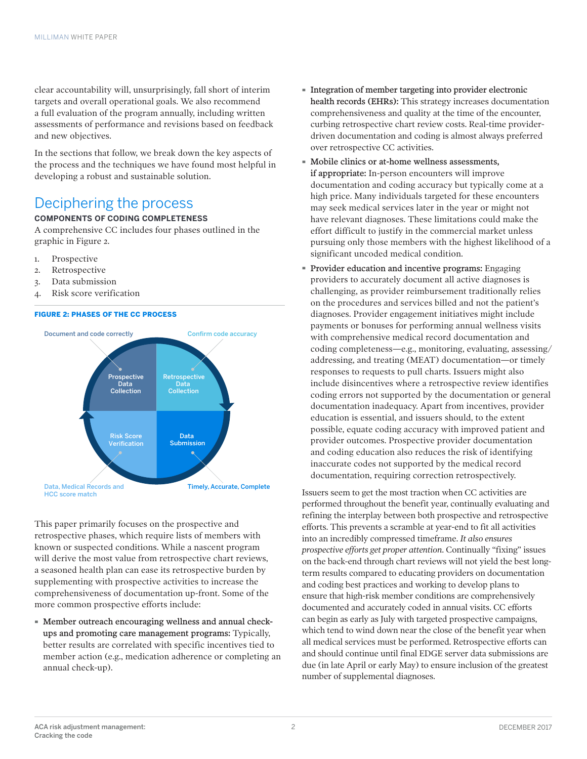clear accountability will, unsurprisingly, fall short of interim targets and overall operational goals. We also recommend a full evaluation of the program annually, including written assessments of performance and revisions based on feedback and new objectives.

In the sections that follow, we break down the key aspects of the process and the techniques we have found most helpful in developing a robust and sustainable solution.

### Deciphering the process

#### **COMPONENTS OF CODING COMPLETENESS**

A comprehensive CC includes four phases outlined in the graphic in Figure 2.

- 1. Prospective
- 2. Retrospective
- 3. Data submission
- 4. Risk score verification

#### FIGURE 2: PHASES OF THE CC PROCESS



This paper primarily focuses on the prospective and retrospective phases, which require lists of members with known or suspected conditions. While a nascent program will derive the most value from retrospective chart reviews, a seasoned health plan can ease its retrospective burden by supplementing with prospective activities to increase the comprehensiveness of documentation up-front. Some of the more common prospective efforts include:

· Member outreach encouraging wellness and annual checkups and promoting care management programs: Typically, better results are correlated with specific incentives tied to member action (e.g., medication adherence or completing an annual check-up).

- · Integration of member targeting into provider electronic health records (EHRs): This strategy increases documentation comprehensiveness and quality at the time of the encounter, curbing retrospective chart review costs. Real-time providerdriven documentation and coding is almost always preferred over retrospective CC activities.
- · Mobile clinics or at-home wellness assessments, if appropriate: In-person encounters will improve documentation and coding accuracy but typically come at a high price. Many individuals targeted for these encounters may seek medical services later in the year or might not have relevant diagnoses. These limitations could make the effort difficult to justify in the commercial market unless pursuing only those members with the highest likelihood of a significant uncoded medical condition.
- · Provider education and incentive programs: Engaging providers to accurately document all active diagnoses is challenging, as provider reimbursement traditionally relies on the procedures and services billed and not the patient's diagnoses. Provider engagement initiatives might include payments or bonuses for performing annual wellness visits with comprehensive medical record documentation and coding completeness—e.g., monitoring, evaluating, assessing/ addressing, and treating (MEAT) documentation—or timely responses to requests to pull charts. Issuers might also include disincentives where a retrospective review identifies coding errors not supported by the documentation or general documentation inadequacy. Apart from incentives, provider education is essential, and issuers should, to the extent possible, equate coding accuracy with improved patient and provider outcomes. Prospective provider documentation and coding education also reduces the risk of identifying inaccurate codes not supported by the medical record documentation, requiring correction retrospectively.

Issuers seem to get the most traction when CC activities are performed throughout the benefit year, continually evaluating and refining the interplay between both prospective and retrospective efforts. This prevents a scramble at year-end to fit all activities into an incredibly compressed timeframe. *It also ensures prospective efforts get proper attention*. Continually "fixing" issues on the back-end through chart reviews will not yield the best longterm results compared to educating providers on documentation and coding best practices and working to develop plans to ensure that high-risk member conditions are comprehensively documented and accurately coded in annual visits. CC efforts can begin as early as July with targeted prospective campaigns, which tend to wind down near the close of the benefit year when all medical services must be performed. Retrospective efforts can and should continue until final EDGE server data submissions are due (in late April or early May) to ensure inclusion of the greatest number of supplemental diagnoses.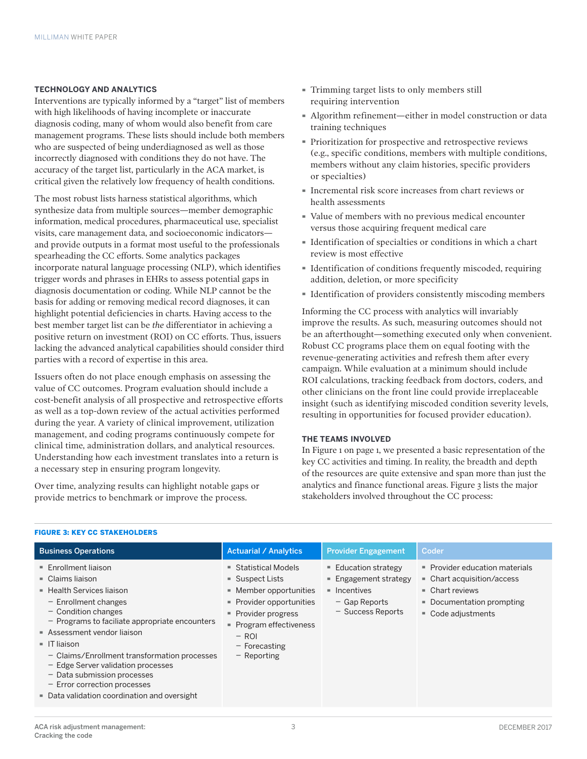#### **TECHNOLOGY AND ANALYTICS**

Interventions are typically informed by a "target" list of members with high likelihoods of having incomplete or inaccurate diagnosis coding, many of whom would also benefit from care management programs. These lists should include both members who are suspected of being underdiagnosed as well as those incorrectly diagnosed with conditions they do not have. The accuracy of the target list, particularly in the ACA market, is critical given the relatively low frequency of health conditions.

The most robust lists harness statistical algorithms, which synthesize data from multiple sources—member demographic information, medical procedures, pharmaceutical use, specialist visits, care management data, and socioeconomic indicators and provide outputs in a format most useful to the professionals spearheading the CC efforts. Some analytics packages incorporate natural language processing (NLP), which identifies trigger words and phrases in EHRs to assess potential gaps in diagnosis documentation or coding. While NLP cannot be the basis for adding or removing medical record diagnoses, it can highlight potential deficiencies in charts. Having access to the best member target list can be *the* differentiator in achieving a positive return on investment (ROI) on CC efforts. Thus, issuers lacking the advanced analytical capabilities should consider third parties with a record of expertise in this area.

Issuers often do not place enough emphasis on assessing the value of CC outcomes. Program evaluation should include a cost-benefit analysis of all prospective and retrospective efforts as well as a top-down review of the actual activities performed during the year. A variety of clinical improvement, utilization management, and coding programs continuously compete for clinical time, administration dollars, and analytical resources. Understanding how each investment translates into a return is a necessary step in ensuring program longevity.

Over time, analyzing results can highlight notable gaps or provide metrics to benchmark or improve the process.

- · Trimming target lists to only members still requiring intervention
- · Algorithm refinement—either in model construction or data training techniques
- · Prioritization for prospective and retrospective reviews (e.g., specific conditions, members with multiple conditions, members without any claim histories, specific providers or specialties)
- · Incremental risk score increases from chart reviews or health assessments
- · Value of members with no previous medical encounter versus those acquiring frequent medical care
- · Identification of specialties or conditions in which a chart review is most effective
- · Identification of conditions frequently miscoded, requiring addition, deletion, or more specificity
- · Identification of providers consistently miscoding members

Informing the CC process with analytics will invariably improve the results. As such, measuring outcomes should not be an afterthought—something executed only when convenient. Robust CC programs place them on equal footing with the revenue-generating activities and refresh them after every campaign. While evaluation at a minimum should include ROI calculations, tracking feedback from doctors, coders, and other clinicians on the front line could provide irreplaceable insight (such as identifying miscoded condition severity levels, resulting in opportunities for focused provider education).

#### **THE TEAMS INVOLVED**

In Figure 1 on page 1, we presented a basic representation of the key CC activities and timing. In reality, the breadth and depth of the resources are quite extensive and span more than just the analytics and finance functional areas. Figure 3 lists the major stakeholders involved throughout the CC process:

| <b>Business Operations</b>                                                                                                                                                                                                                                                                                                                                                                                                                               | <b>Actuarial / Analytics</b>                                                                                                                                                                                           | <b>Provider Engagement</b>                                                                                                        | Coder                                                                                                                                           |
|----------------------------------------------------------------------------------------------------------------------------------------------------------------------------------------------------------------------------------------------------------------------------------------------------------------------------------------------------------------------------------------------------------------------------------------------------------|------------------------------------------------------------------------------------------------------------------------------------------------------------------------------------------------------------------------|-----------------------------------------------------------------------------------------------------------------------------------|-------------------------------------------------------------------------------------------------------------------------------------------------|
| ■ Enrollment liaison<br>$\blacksquare$ Claims liaison<br>■ Health Services liaison<br>$-$ Enrollment changes<br>$-$ Condition changes<br>- Programs to faciliate appropriate encounters<br>Assessment vendor liaison<br>$\blacksquare$ IT liaison<br>- Claims/Enrollment transformation processes<br>- Edge Server validation processes<br>$-$ Data submission processes<br>- Error correction processes<br>• Data validation coordination and oversight | $\blacksquare$ Statistical Models<br>$\blacksquare$ Suspect Lists<br>- Member opportunities<br>Provider opportunities<br>• Provider progress<br>• Program effectiveness<br>$-$ ROI<br>$-$ Forecasting<br>$-$ Reporting | $\blacksquare$ Education strategy<br>■ Engagement strategy<br>$\blacksquare$ Incentives<br>$-$ Gap Reports<br>$-$ Success Reports | • Provider education materials<br>■ Chart acquisition/access<br>$\blacksquare$ Chart reviews<br>• Documentation prompting<br>■ Code adjustments |

#### FIGURE 3: KEY CC STAKEHOLDERS